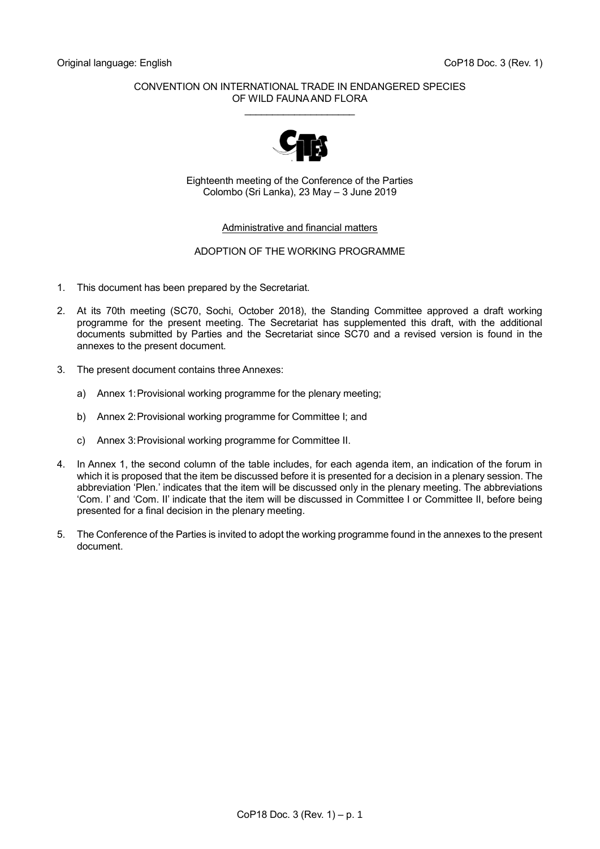#### CONVENTION ON INTERNATIONAL TRADE IN ENDANGERED SPECIES OF WILD FAUNA AND FLORA \_\_\_\_\_\_\_\_\_\_\_\_\_\_\_\_\_\_\_\_



Eighteenth meeting of the Conference of the Parties Colombo (Sri Lanka), 23 May – 3 June 2019

#### Administrative and financial matters

#### ADOPTION OF THE WORKING PROGRAMME

- 1. This document has been prepared by the Secretariat.
- 2. At its 70th meeting (SC70, Sochi, October 2018), the Standing Committee approved a draft working programme for the present meeting. The Secretariat has supplemented this draft, with the additional documents submitted by Parties and the Secretariat since SC70 and a revised version is found in the annexes to the present document.
- 3. The present document contains three Annexes:
	- a) Annex 1:Provisional working programme for the plenary meeting;
	- b) Annex 2: Provisional working programme for Committee I; and
	- c) Annex 3:Provisional working programme for Committee II.
- 4. In Annex 1, the second column of the table includes, for each agenda item, an indication of the forum in which it is proposed that the item be discussed before it is presented for a decision in a plenary session. The abbreviation 'Plen.' indicates that the item will be discussed only in the plenary meeting. The abbreviations 'Com. I' and 'Com. II' indicate that the item will be discussed in Committee I or Committee II, before being presented for a final decision in the plenary meeting.
- 5. The Conference of the Parties is invited to adopt the working programme found in the annexes to the present document.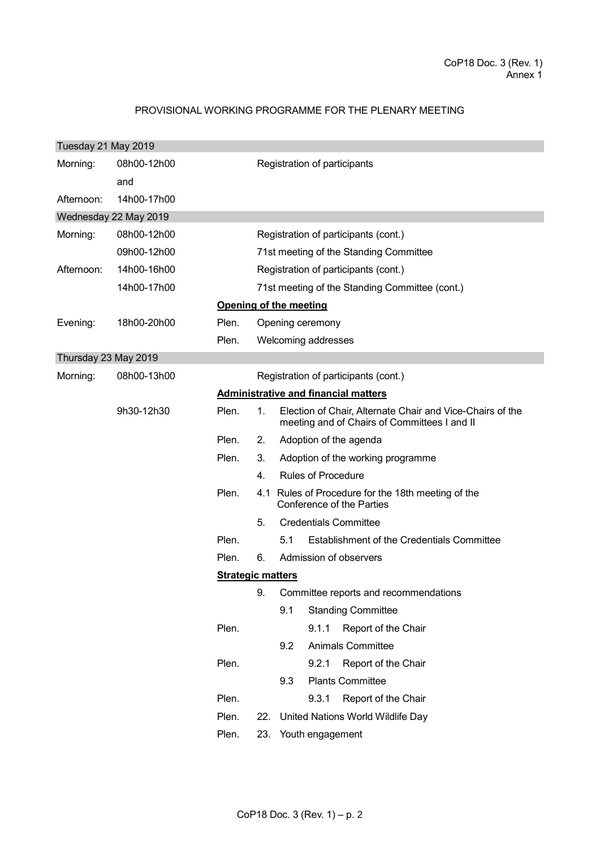# PROVISIONAL WORKING PROGRAMME FOR THE PLENARY MEETING

| Tuesday 21 May 2019  |                       |                          |     |                                                                                                           |
|----------------------|-----------------------|--------------------------|-----|-----------------------------------------------------------------------------------------------------------|
| Morning:             | 08h00-12h00           |                          |     | Registration of participants                                                                              |
|                      | and                   |                          |     |                                                                                                           |
| Afternoon:           | 14h00-17h00           |                          |     |                                                                                                           |
|                      | Wednesday 22 May 2019 |                          |     |                                                                                                           |
| Morning:             | 08h00-12h00           |                          |     | Registration of participants (cont.)                                                                      |
|                      | 09h00-12h00           |                          |     | 71st meeting of the Standing Committee                                                                    |
| Afternoon:           | 14h00-16h00           |                          |     | Registration of participants (cont.)                                                                      |
|                      | 14h00-17h00           |                          |     | 71st meeting of the Standing Committee (cont.)                                                            |
|                      |                       |                          |     | Opening of the meeting                                                                                    |
| Evening:             | 18h00-20h00           | Plen.                    |     | Opening ceremony                                                                                          |
|                      |                       | Plen.                    |     | Welcoming addresses                                                                                       |
| Thursday 23 May 2019 |                       |                          |     |                                                                                                           |
| Morning:             | 08h00-13h00           |                          |     | Registration of participants (cont.)                                                                      |
|                      |                       |                          |     | <b>Administrative and financial matters</b>                                                               |
|                      | 9h30-12h30            | Plen.                    | 1.  | Election of Chair, Alternate Chair and Vice-Chairs of the<br>meeting and of Chairs of Committees I and II |
|                      |                       | Plen.                    | 2.  | Adoption of the agenda                                                                                    |
|                      |                       | Plen.                    | 3.  | Adoption of the working programme                                                                         |
|                      |                       |                          | 4.  | <b>Rules of Procedure</b>                                                                                 |
|                      |                       | Plen.                    |     | 4.1 Rules of Procedure for the 18th meeting of the<br><b>Conference of the Parties</b>                    |
|                      |                       |                          | 5.  | <b>Credentials Committee</b>                                                                              |
|                      |                       | Plen.                    |     | 5.1<br><b>Establishment of the Credentials Committee</b>                                                  |
|                      |                       | Plen.                    | 6.  | Admission of observers                                                                                    |
|                      |                       | <b>Strategic matters</b> |     |                                                                                                           |
|                      |                       |                          |     | 9. Committee reports and recommendations                                                                  |
|                      |                       |                          |     | 9.1<br><b>Standing Committee</b>                                                                          |
|                      |                       | Plen.                    |     | Report of the Chair<br>9.1.1                                                                              |
|                      |                       |                          |     | 9.2<br>Animals Committee                                                                                  |
|                      |                       | Plen.                    |     | Report of the Chair<br>9.2.1                                                                              |
|                      |                       |                          |     | <b>Plants Committee</b><br>9.3                                                                            |
|                      |                       | Plen.                    |     | 9.3.1<br>Report of the Chair                                                                              |
|                      |                       | Plen.                    | 22. | United Nations World Wildlife Day                                                                         |
|                      |                       | Plen.                    | 23. | Youth engagement                                                                                          |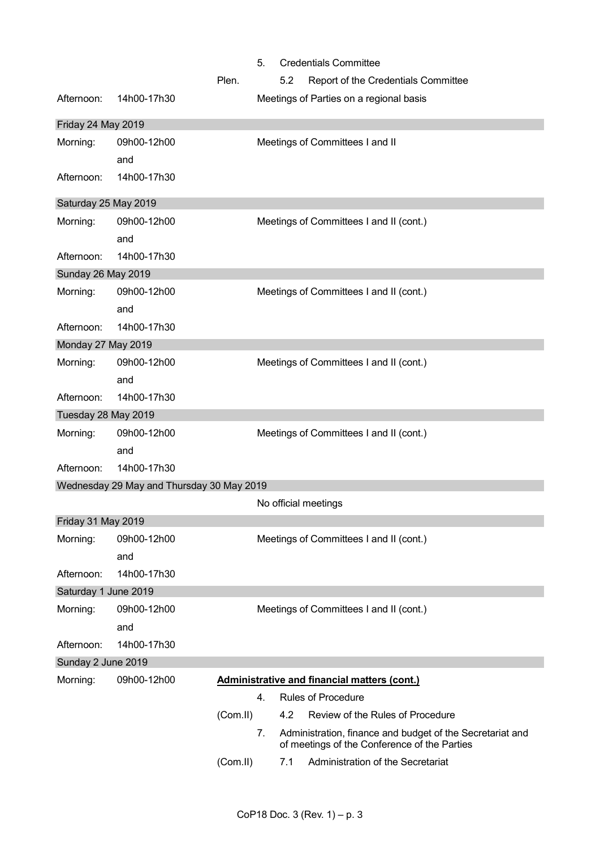|                      |                                           | <b>Credentials Committee</b><br>5.                                                                              |
|----------------------|-------------------------------------------|-----------------------------------------------------------------------------------------------------------------|
|                      |                                           | 5.2<br>Plen.<br>Report of the Credentials Committee                                                             |
| Afternoon:           | 14h00-17h30                               | Meetings of Parties on a regional basis                                                                         |
| Friday 24 May 2019   |                                           |                                                                                                                 |
| Morning:             | 09h00-12h00                               | Meetings of Committees I and II                                                                                 |
|                      | and                                       |                                                                                                                 |
| Afternoon:           | 14h00-17h30                               |                                                                                                                 |
| Saturday 25 May 2019 |                                           |                                                                                                                 |
| Morning:             | 09h00-12h00                               | Meetings of Committees I and II (cont.)                                                                         |
|                      | and                                       |                                                                                                                 |
| Afternoon:           | 14h00-17h30                               |                                                                                                                 |
| Sunday 26 May 2019   |                                           |                                                                                                                 |
| Morning:             | 09h00-12h00                               | Meetings of Committees I and II (cont.)                                                                         |
|                      | and                                       |                                                                                                                 |
| Afternoon:           | 14h00-17h30                               |                                                                                                                 |
| Monday 27 May 2019   |                                           |                                                                                                                 |
| Morning:             | 09h00-12h00                               | Meetings of Committees I and II (cont.)                                                                         |
|                      | and                                       |                                                                                                                 |
| Afternoon:           | 14h00-17h30                               |                                                                                                                 |
| Tuesday 28 May 2019  |                                           |                                                                                                                 |
| Morning:             | 09h00-12h00                               | Meetings of Committees I and II (cont.)                                                                         |
|                      | and                                       |                                                                                                                 |
| Afternoon:           | 14h00-17h30                               |                                                                                                                 |
|                      | Wednesday 29 May and Thursday 30 May 2019 |                                                                                                                 |
|                      |                                           | No official meetings                                                                                            |
| Friday 31 May 2019   |                                           |                                                                                                                 |
| Morning:             | 09h00-12h00                               | Meetings of Committees I and II (cont.)                                                                         |
|                      | and                                       |                                                                                                                 |
| Afternoon:           | 14h00-17h30                               |                                                                                                                 |
| Saturday 1 June 2019 |                                           |                                                                                                                 |
| Morning:             | 09h00-12h00                               | Meetings of Committees I and II (cont.)                                                                         |
|                      | and                                       |                                                                                                                 |
| Afternoon:           | 14h00-17h30                               |                                                                                                                 |
| Sunday 2 June 2019   |                                           |                                                                                                                 |
| Morning:             | 09h00-12h00                               | <b>Administrative and financial matters (cont.)</b>                                                             |
|                      |                                           | <b>Rules of Procedure</b><br>4.                                                                                 |
|                      |                                           | Review of the Rules of Procedure<br>(Com.II)<br>4.2                                                             |
|                      |                                           | Administration, finance and budget of the Secretariat and<br>7.<br>of meetings of the Conference of the Parties |
|                      |                                           | Administration of the Secretariat<br>(Com.II)<br>7.1                                                            |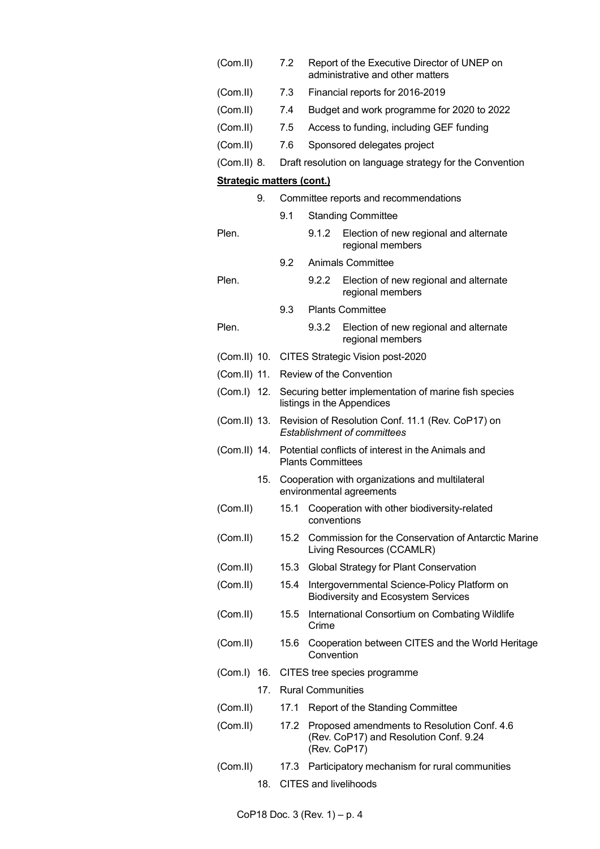| (Com.II)                         |     | 7.2  |                          | Report of the Executive Director of UNEP on<br>administrative and other matters            |
|----------------------------------|-----|------|--------------------------|--------------------------------------------------------------------------------------------|
| (Com.II)                         |     | 7.3  |                          | Financial reports for 2016-2019                                                            |
| (Com.II)                         |     | 7.4  |                          | Budget and work programme for 2020 to 2022                                                 |
| (Com.II)                         |     | 7.5  |                          | Access to funding, including GEF funding                                                   |
| (Com.II)                         |     | 7.6  |                          | Sponsored delegates project                                                                |
| (Com.II) 8.                      |     |      |                          | Draft resolution on language strategy for the Convention                                   |
| <b>Strategic matters (cont.)</b> |     |      |                          |                                                                                            |
|                                  | 9.  |      |                          | Committee reports and recommendations                                                      |
|                                  |     | 9.1  |                          | <b>Standing Committee</b>                                                                  |
| Plen.                            |     |      | 9.1.2                    | Election of new regional and alternate<br>regional members                                 |
|                                  |     | 9.2  |                          | Animals Committee                                                                          |
| Plen.                            |     |      | 9.2.2                    | Election of new regional and alternate<br>regional members                                 |
|                                  |     | 9.3  |                          | <b>Plants Committee</b>                                                                    |
| Plen.                            |     |      | 9.3.2                    | Election of new regional and alternate<br>regional members                                 |
|                                  |     |      |                          | (Com.II) 10. CITES Strategic Vision post-2020                                              |
| (Com.II) 11.                     |     |      |                          | Review of the Convention                                                                   |
| (Com.I) 12.                      |     |      |                          | Securing better implementation of marine fish species<br>listings in the Appendices        |
| (Com.II) 13.                     |     |      |                          | Revision of Resolution Conf. 11.1 (Rev. CoP17) on<br><b>Establishment of committees</b>    |
|                                  |     |      | <b>Plants Committees</b> | (Com.II) 14. Potential conflicts of interest in the Animals and                            |
|                                  | 15. |      |                          | Cooperation with organizations and multilateral<br>environmental agreements                |
| (Com.II)                         |     |      | conventions              | 15.1 Cooperation with other biodiversity-related                                           |
| (Com.II)                         |     | 15.2 |                          | Commission for the Conservation of Antarctic Marine<br>Living Resources (CCAMLR)           |
| (Com.II)                         |     | 15.3 |                          | Global Strategy for Plant Conservation                                                     |
| (Com.II)                         |     | 15.4 |                          | Intergovernmental Science-Policy Platform on<br><b>Biodiversity and Ecosystem Services</b> |
| (Com.II)                         |     | 15.5 | Crime                    | International Consortium on Combating Wildlife                                             |
| (Com.II)                         |     | 15.6 | Convention               | Cooperation between CITES and the World Heritage                                           |
|                                  |     |      |                          | (Com.I) 16. CITES tree species programme                                                   |
|                                  |     |      | 17. Rural Communities    |                                                                                            |
| (Com.II)                         |     | 17.1 |                          | Report of the Standing Committee                                                           |
| (Com.II)                         |     | 17.2 | (Rev. CoP17)             | Proposed amendments to Resolution Conf. 4.6<br>(Rev. CoP17) and Resolution Conf. 9.24      |
| (Com.II)                         |     | 17.3 |                          | Participatory mechanism for rural communities                                              |
|                                  | 18. |      |                          | <b>CITES and livelihoods</b>                                                               |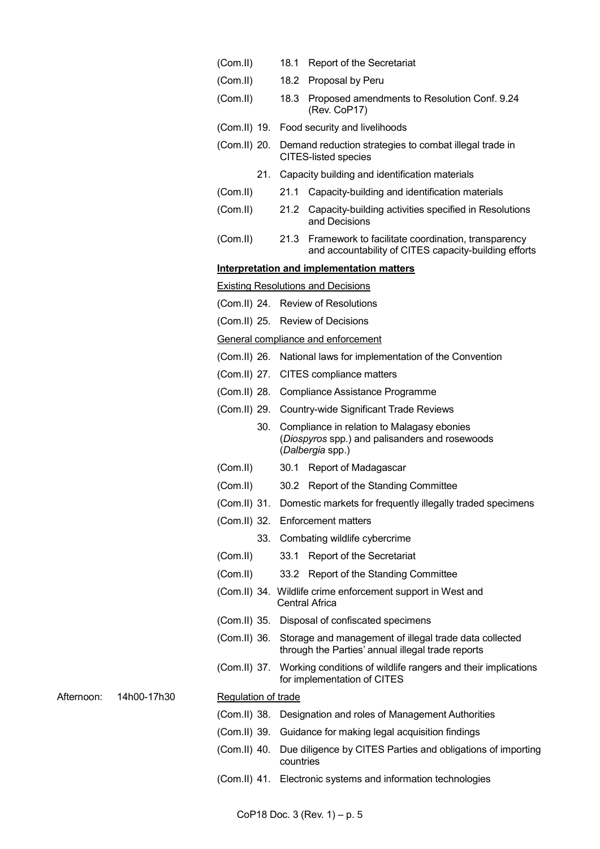|            |             | (Com.II)                   |           | 18.1 Report of the Secretariat                                                                                           |
|------------|-------------|----------------------------|-----------|--------------------------------------------------------------------------------------------------------------------------|
|            |             | (Com.II)                   |           | 18.2 Proposal by Peru                                                                                                    |
|            |             | (Com.II)                   | 18.3      | Proposed amendments to Resolution Conf. 9.24<br>(Rev. CoP17)                                                             |
|            |             |                            |           | (Com.II) 19. Food security and livelihoods                                                                               |
|            |             |                            |           | (Com.II) 20. Demand reduction strategies to combat illegal trade in<br><b>CITES-listed species</b>                       |
|            |             |                            |           | 21. Capacity building and identification materials                                                                       |
|            |             | (Com.II)                   |           | 21.1 Capacity-building and identification materials                                                                      |
|            |             | (Com.II)                   |           | 21.2 Capacity-building activities specified in Resolutions<br>and Decisions                                              |
|            |             | (Com.II)                   |           | 21.3 Framework to facilitate coordination, transparency<br>and accountability of CITES capacity-building efforts         |
|            |             |                            |           | Interpretation and implementation matters                                                                                |
|            |             |                            |           | <b>Existing Resolutions and Decisions</b>                                                                                |
|            |             |                            |           | (Com.II) 24. Review of Resolutions                                                                                       |
|            |             |                            |           | (Com.II) 25. Review of Decisions                                                                                         |
|            |             |                            |           | General compliance and enforcement                                                                                       |
|            |             |                            |           | (Com.II) 26. National laws for implementation of the Convention                                                          |
|            |             |                            |           | (Com.II) 27. CITES compliance matters                                                                                    |
|            |             |                            |           | (Com.II) 28. Compliance Assistance Programme                                                                             |
|            |             |                            |           | (Com.II) 29. Country-wide Significant Trade Reviews                                                                      |
|            |             |                            |           | 30. Compliance in relation to Malagasy ebonies<br>(Diospyros spp.) and palisanders and rosewoods<br>(Dalbergia spp.)     |
|            |             | (Com.I)                    |           | 30.1 Report of Madagascar                                                                                                |
|            |             | (Com.II)                   |           | 30.2 Report of the Standing Committee                                                                                    |
|            |             |                            |           | (Com.II) 31. Domestic markets for frequently illegally traded specimens                                                  |
|            |             |                            |           | (Com.II) 32. Enforcement matters                                                                                         |
|            |             |                            |           | 33. Combating wildlife cybercrime                                                                                        |
|            |             | (Com.I)                    |           | 33.1 Report of the Secretariat                                                                                           |
|            |             | (Com.II)                   |           | 33.2 Report of the Standing Committee                                                                                    |
|            |             |                            |           | (Com.II) 34. Wildlife crime enforcement support in West and<br>Central Africa                                            |
|            |             |                            |           | (Com.II) 35. Disposal of confiscated specimens                                                                           |
|            |             |                            |           | (Com.II) 36. Storage and management of illegal trade data collected<br>through the Parties' annual illegal trade reports |
|            |             |                            |           | (Com.II) 37. Working conditions of wildlife rangers and their implications<br>for implementation of CITES                |
| Afternoon: | 14h00-17h30 | <b>Regulation of trade</b> |           |                                                                                                                          |
|            |             |                            |           | (Com.II) 38. Designation and roles of Management Authorities                                                             |
|            |             |                            |           | (Com.II) 39. Guidance for making legal acquisition findings                                                              |
|            |             |                            | countries | (Com.II) 40. Due diligence by CITES Parties and obligations of importing                                                 |
|            |             |                            |           | (Com.II) 41. Electronic systems and information technologies                                                             |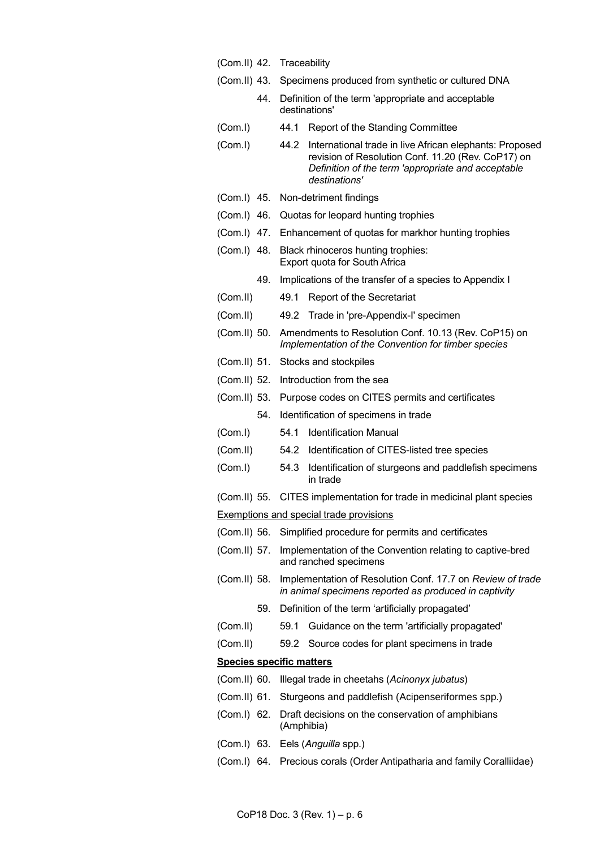|              |     | (Com.II) 42. Traceability                                                                                                                                                                    |
|--------------|-----|----------------------------------------------------------------------------------------------------------------------------------------------------------------------------------------------|
|              |     | (Com.II) 43. Specimens produced from synthetic or cultured DNA                                                                                                                               |
|              | 44. | Definition of the term 'appropriate and acceptable<br>destinations'                                                                                                                          |
| (Com.I)      |     | 44.1<br>Report of the Standing Committee                                                                                                                                                     |
| (Com.I)      |     | 44.2<br>International trade in live African elephants: Proposed<br>revision of Resolution Conf. 11.20 (Rev. CoP17) on<br>Definition of the term 'appropriate and acceptable<br>destinations' |
| (Com.I) 45.  |     | Non-detriment findings                                                                                                                                                                       |
| (Com.I) 46.  |     | Quotas for leopard hunting trophies                                                                                                                                                          |
| (Com.I) 47.  |     | Enhancement of quotas for markhor hunting trophies                                                                                                                                           |
| (Com.I) 48.  |     | Black rhinoceros hunting trophies:<br>Export quota for South Africa                                                                                                                          |
|              | 49. | Implications of the transfer of a species to Appendix I                                                                                                                                      |
| (Com.II)     |     | Report of the Secretariat<br>49.1                                                                                                                                                            |
| (Com.II)     |     | 49.2 Trade in 'pre-Appendix-I' specimen                                                                                                                                                      |
| (Com.II) 50. |     | Amendments to Resolution Conf. 10.13 (Rev. CoP15) on<br>Implementation of the Convention for timber species                                                                                  |
| (Com.II) 51. |     | Stocks and stockpiles                                                                                                                                                                        |
| (Com.II) 52. |     | Introduction from the sea                                                                                                                                                                    |
| (Com.II) 53. |     | Purpose codes on CITES permits and certificates                                                                                                                                              |
|              | 54. | Identification of specimens in trade                                                                                                                                                         |
| (Com. I)     |     | <b>Identification Manual</b><br>54.1                                                                                                                                                         |
| (Com.II)     |     | Identification of CITES-listed tree species<br>54.2                                                                                                                                          |
| (Com. I)     |     | 54.3<br>Identification of sturgeons and paddlefish specimens<br>in trade                                                                                                                     |
|              |     | (Com.II) 55. CITES implementation for trade in medicinal plant species                                                                                                                       |
|              |     | <b>Exemptions and special trade provisions</b>                                                                                                                                               |
| (Com.II) 56. |     | Simplified procedure for permits and certificates                                                                                                                                            |
| (Com.II) 57. |     | Implementation of the Convention relating to captive-bred<br>and ranched specimens                                                                                                           |
| (Com.II) 58. |     | Implementation of Resolution Conf. 17.7 on Review of trade<br>in animal specimens reported as produced in captivity                                                                          |
|              | 59. | Definition of the term 'artificially propagated'                                                                                                                                             |
| (Com.II)     |     | Guidance on the term 'artificially propagated'<br>59.1                                                                                                                                       |
| (Com.II)     |     | 59.2 Source codes for plant specimens in trade                                                                                                                                               |
|              |     | <b>Species specific matters</b>                                                                                                                                                              |
| (Com.II) 60. |     | Illegal trade in cheetahs (Acinonyx jubatus)                                                                                                                                                 |
| (Com.II) 61. |     | Sturgeons and paddlefish (Acipenseriformes spp.)                                                                                                                                             |
| (Com.I) 62.  |     | Draft decisions on the conservation of amphibians<br>(Amphibia)                                                                                                                              |
|              |     | (Com.I) 63. Eels (Anguilla spp.)                                                                                                                                                             |
|              |     | (Com.I) 64. Precious corals (Order Antipatharia and family Coralliidae)                                                                                                                      |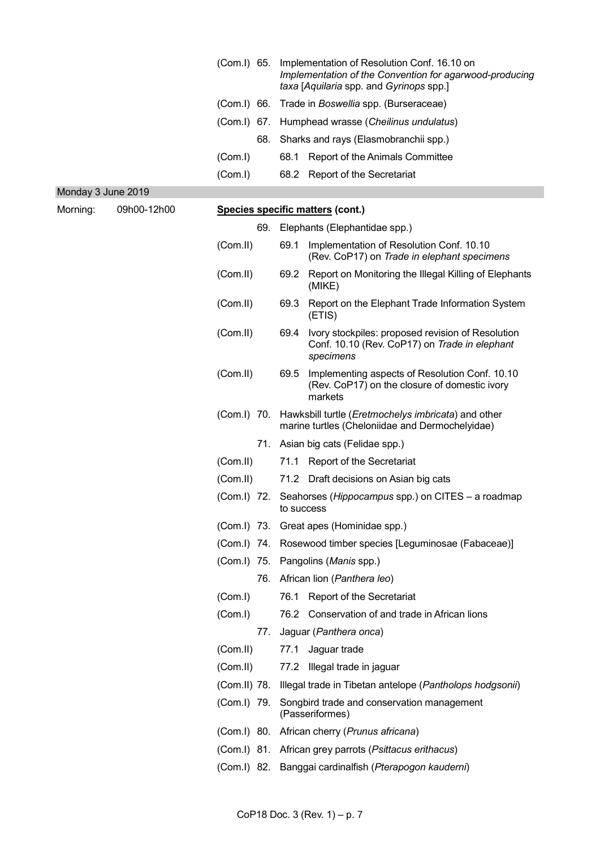|                    |             | (Com.I) 65.   |     |            | Implementation of Resolution Conf. 16.10 on<br>Implementation of the Convention for agarwood-producing<br>taxa [Aquilaria spp. and Gyrinops spp.] |
|--------------------|-------------|---------------|-----|------------|---------------------------------------------------------------------------------------------------------------------------------------------------|
|                    |             | $(Com.1)$ 66. |     |            | Trade in Boswellia spp. (Burseraceae)                                                                                                             |
|                    |             |               |     |            | (Com.I) 67. Humphead wrasse (Cheilinus undulatus)                                                                                                 |
|                    |             |               | 68. |            | Sharks and rays (Elasmobranchii spp.)                                                                                                             |
|                    |             | (Com. I)      |     | 68.1       | Report of the Animals Committee                                                                                                                   |
|                    |             | (Com. I)      |     |            | 68.2 Report of the Secretariat                                                                                                                    |
| Monday 3 June 2019 |             |               |     |            |                                                                                                                                                   |
| Morning:           | 09h00-12h00 |               |     |            | Species specific matters (cont.)                                                                                                                  |
|                    |             |               |     |            | 69. Elephants (Elephantidae spp.)                                                                                                                 |
|                    |             | (Com.II)      |     | 69.1       | Implementation of Resolution Conf. 10.10<br>(Rev. CoP17) on Trade in elephant specimens                                                           |
|                    |             | (Com.II)      |     | 69.2       | Report on Monitoring the Illegal Killing of Elephants<br>(MIKE)                                                                                   |
|                    |             | (Com.II)      |     | 69.3       | Report on the Elephant Trade Information System<br>(ETIS)                                                                                         |
|                    |             | (Com.II)      |     | 69.4       | Ivory stockpiles: proposed revision of Resolution<br>Conf. 10.10 (Rev. CoP17) on Trade in elephant<br>specimens                                   |
|                    |             | (Com.II)      |     | 69.5       | Implementing aspects of Resolution Conf. 10.10<br>(Rev. CoP17) on the closure of domestic ivory<br>markets                                        |
|                    |             | (Com.I) 70.   |     |            | Hawksbill turtle ( <i>Eretmochelys imbricata</i> ) and other<br>marine turtles (Cheloniidae and Dermochelyidae)                                   |
|                    |             |               |     |            | 71. Asian big cats (Felidae spp.)                                                                                                                 |
|                    |             | (Com.II)      |     |            | 71.1 Report of the Secretariat                                                                                                                    |
|                    |             | (Com.II)      |     |            | 71.2 Draft decisions on Asian big cats                                                                                                            |
|                    |             |               |     | to success | (Com.I) 72. Seahorses (Hippocampus spp.) on CITES - a roadmap                                                                                     |
|                    |             |               |     |            | (Com.I) 73. Great apes (Hominidae spp.)                                                                                                           |
|                    |             |               |     |            | (Com.I) 74. Rosewood timber species [Leguminosae (Fabaceae)]                                                                                      |
|                    |             |               |     |            | (Com.I) 75. Pangolins (Manis spp.)                                                                                                                |
|                    |             |               | 76. |            | African lion (Panthera leo)                                                                                                                       |
|                    |             | (Com. I)      |     | 76.1       | <b>Report of the Secretariat</b>                                                                                                                  |
|                    |             | (Com.1)       |     |            | 76.2 Conservation of and trade in African lions                                                                                                   |
|                    |             |               | 77. |            | Jaguar (Panthera onca)                                                                                                                            |
|                    |             | (Com.II)      |     | 77.1       | Jaguar trade                                                                                                                                      |
|                    |             | (Com.II)      |     |            | 77.2 Illegal trade in jaguar                                                                                                                      |
|                    |             |               |     |            | (Com.II) 78. Illegal trade in Tibetan antelope (Pantholops hodgsonii)                                                                             |
|                    |             | (Com.I) 79.   |     |            | Songbird trade and conservation management<br>(Passeriformes)                                                                                     |
|                    |             |               |     |            | (Com.I) 80. African cherry (Prunus africana)                                                                                                      |
|                    |             |               |     |            | (Com.I) 81. African grey parrots (Psittacus erithacus)                                                                                            |
|                    |             |               |     |            | (Com.I) 82. Banggai cardinalfish (Pterapogon kauderni)                                                                                            |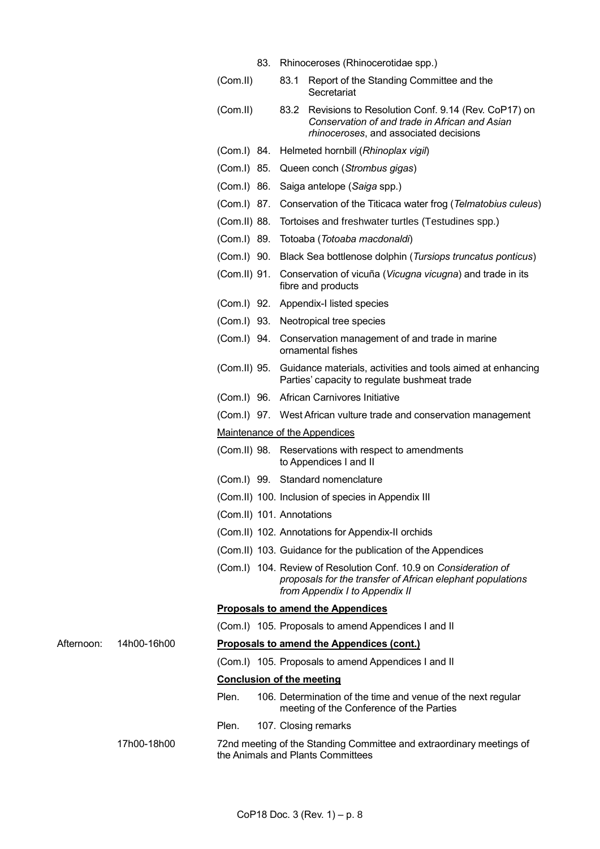|             |                                  |  | 83. Rhinoceroses (Rhinocerotidae spp.)                                                                                                                           |
|-------------|----------------------------------|--|------------------------------------------------------------------------------------------------------------------------------------------------------------------|
|             | (Com.II)                         |  | 83.1 Report of the Standing Committee and the<br>Secretariat                                                                                                     |
|             | (Com.II)                         |  | 83.2 Revisions to Resolution Conf. 9.14 (Rev. CoP17) on<br>Conservation of and trade in African and Asian<br>rhinoceroses, and associated decisions              |
|             |                                  |  | (Com.I) 84. Helmeted hornbill (Rhinoplax vigil)                                                                                                                  |
|             |                                  |  | (Com.I) 85. Queen conch (Strombus gigas)                                                                                                                         |
|             |                                  |  | (Com.I) 86. Saiga antelope (Saiga spp.)                                                                                                                          |
|             |                                  |  | (Com.I) 87. Conservation of the Titicaca water frog (Telmatobius culeus)                                                                                         |
|             |                                  |  | (Com.II) 88. Tortoises and freshwater turtles (Testudines spp.)                                                                                                  |
|             |                                  |  | (Com.I) 89. Totoaba (Totoaba macdonaldi)                                                                                                                         |
|             |                                  |  | (Com.I) 90. Black Sea bottlenose dolphin (Tursiops truncatus ponticus)                                                                                           |
|             |                                  |  | (Com.II) 91. Conservation of vicuña (Vicugna vicugna) and trade in its<br>fibre and products                                                                     |
|             |                                  |  | (Com.I) 92. Appendix-I listed species                                                                                                                            |
|             |                                  |  | (Com.I) 93. Neotropical tree species                                                                                                                             |
|             |                                  |  | (Com.I) 94. Conservation management of and trade in marine<br>ornamental fishes                                                                                  |
|             | (Com.II) 95.                     |  | Guidance materials, activities and tools aimed at enhancing<br>Parties' capacity to regulate bushmeat trade                                                      |
|             |                                  |  | (Com.I) 96. African Carnivores Initiative                                                                                                                        |
|             |                                  |  | (Com.I) 97. West African vulture trade and conservation management                                                                                               |
|             |                                  |  | Maintenance of the Appendices                                                                                                                                    |
|             |                                  |  | (Com.II) 98. Reservations with respect to amendments<br>to Appendices I and II                                                                                   |
|             |                                  |  | (Com.I) 99. Standard nomenclature                                                                                                                                |
|             |                                  |  | (Com.II) 100. Inclusion of species in Appendix III                                                                                                               |
|             | (Com.II) 101. Annotations        |  |                                                                                                                                                                  |
|             |                                  |  | (Com.II) 102. Annotations for Appendix-II orchids                                                                                                                |
|             |                                  |  | (Com.II) 103. Guidance for the publication of the Appendices                                                                                                     |
|             |                                  |  | (Com.I) 104. Review of Resolution Conf. 10.9 on Consideration of<br>proposals for the transfer of African elephant populations<br>from Appendix I to Appendix II |
|             |                                  |  | <b>Proposals to amend the Appendices</b>                                                                                                                         |
|             |                                  |  | (Com.I) 105. Proposals to amend Appendices I and II                                                                                                              |
| 14h00-16h00 |                                  |  | Proposals to amend the Appendices (cont.)                                                                                                                        |
|             |                                  |  | (Com.I) 105. Proposals to amend Appendices I and II                                                                                                              |
|             | <b>Conclusion of the meeting</b> |  |                                                                                                                                                                  |
|             | Plen.                            |  | 106. Determination of the time and venue of the next regular<br>meeting of the Conference of the Parties                                                         |
|             | Plen.                            |  | 107. Closing remarks                                                                                                                                             |
| 17h00-18h00 |                                  |  | 72nd meeting of the Standing Committee and extraordinary meetings of<br>the Animals and Plants Committees                                                        |

Afternoon: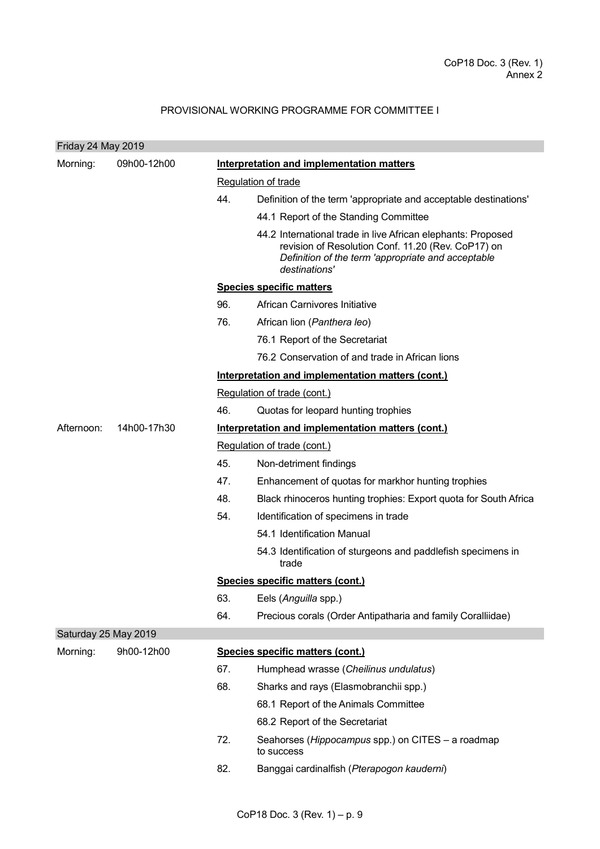# PROVISIONAL WORKING PROGRAMME FOR COMMITTEE I

| Friday 24 May 2019   |             |                                           |                                                                                                                                                                                           |  |  |  |  |
|----------------------|-------------|-------------------------------------------|-------------------------------------------------------------------------------------------------------------------------------------------------------------------------------------------|--|--|--|--|
| Morning:             | 09h00-12h00 | Interpretation and implementation matters |                                                                                                                                                                                           |  |  |  |  |
|                      |             |                                           | Regulation of trade                                                                                                                                                                       |  |  |  |  |
|                      |             | 44.                                       | Definition of the term 'appropriate and acceptable destinations'                                                                                                                          |  |  |  |  |
|                      |             |                                           | 44.1 Report of the Standing Committee                                                                                                                                                     |  |  |  |  |
|                      |             |                                           | 44.2 International trade in live African elephants: Proposed<br>revision of Resolution Conf. 11.20 (Rev. CoP17) on<br>Definition of the term 'appropriate and acceptable<br>destinations' |  |  |  |  |
|                      |             | <b>Species specific matters</b>           |                                                                                                                                                                                           |  |  |  |  |
|                      |             | 96.                                       | African Carnivores Initiative                                                                                                                                                             |  |  |  |  |
|                      |             | 76.                                       | African lion (Panthera leo)                                                                                                                                                               |  |  |  |  |
|                      |             |                                           | 76.1 Report of the Secretariat                                                                                                                                                            |  |  |  |  |
|                      |             |                                           | 76.2 Conservation of and trade in African lions                                                                                                                                           |  |  |  |  |
|                      |             |                                           | Interpretation and implementation matters (cont.)                                                                                                                                         |  |  |  |  |
|                      |             | Regulation of trade (cont.)               |                                                                                                                                                                                           |  |  |  |  |
|                      |             | 46.                                       | Quotas for leopard hunting trophies                                                                                                                                                       |  |  |  |  |
| Afternoon:           | 14h00-17h30 |                                           | Interpretation and implementation matters (cont.)                                                                                                                                         |  |  |  |  |
|                      |             |                                           | Regulation of trade (cont.)                                                                                                                                                               |  |  |  |  |
|                      |             | 45.                                       | Non-detriment findings                                                                                                                                                                    |  |  |  |  |
|                      |             | 47.                                       | Enhancement of quotas for markhor hunting trophies                                                                                                                                        |  |  |  |  |
|                      |             | 48.                                       | Black rhinoceros hunting trophies: Export quota for South Africa                                                                                                                          |  |  |  |  |
|                      |             | 54.                                       | Identification of specimens in trade                                                                                                                                                      |  |  |  |  |
|                      |             |                                           | 54.1 Identification Manual                                                                                                                                                                |  |  |  |  |
|                      |             |                                           | 54.3 Identification of sturgeons and paddlefish specimens in<br>trade                                                                                                                     |  |  |  |  |
|                      |             |                                           | Species specific matters (cont.)                                                                                                                                                          |  |  |  |  |
|                      |             | 63.                                       | Eels (Anguilla spp.)                                                                                                                                                                      |  |  |  |  |
|                      |             | 64.                                       | Precious corals (Order Antipatharia and family Coralliidae)                                                                                                                               |  |  |  |  |
| Saturday 25 May 2019 |             |                                           |                                                                                                                                                                                           |  |  |  |  |
| Morning:             | 9h00-12h00  |                                           | Species specific matters (cont.)                                                                                                                                                          |  |  |  |  |
|                      |             | 67.                                       | Humphead wrasse (Cheilinus undulatus)                                                                                                                                                     |  |  |  |  |
|                      |             | 68.                                       | Sharks and rays (Elasmobranchii spp.)                                                                                                                                                     |  |  |  |  |
|                      |             |                                           | 68.1 Report of the Animals Committee                                                                                                                                                      |  |  |  |  |
|                      |             |                                           | 68.2 Report of the Secretariat                                                                                                                                                            |  |  |  |  |
|                      |             | 72.                                       | Seahorses (Hippocampus spp.) on CITES - a roadmap<br>to success                                                                                                                           |  |  |  |  |
|                      |             | 82.                                       | Banggai cardinalfish (Pterapogon kauderni)                                                                                                                                                |  |  |  |  |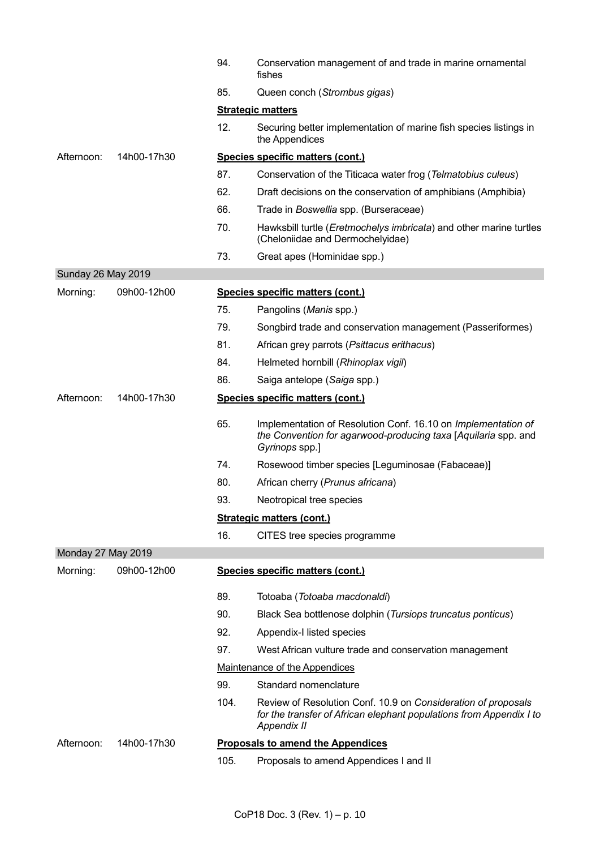|                    |             | 94.  | Conservation management of and trade in marine ornamental<br>fishes                                                                                        |
|--------------------|-------------|------|------------------------------------------------------------------------------------------------------------------------------------------------------------|
|                    |             | 85.  | Queen conch (Strombus gigas)                                                                                                                               |
|                    |             |      | <b>Strategic matters</b>                                                                                                                                   |
|                    |             | 12.  | Securing better implementation of marine fish species listings in<br>the Appendices                                                                        |
| Afternoon:         | 14h00-17h30 |      | Species specific matters (cont.)                                                                                                                           |
|                    |             | 87.  | Conservation of the Titicaca water frog (Telmatobius culeus)                                                                                               |
|                    |             | 62.  | Draft decisions on the conservation of amphibians (Amphibia)                                                                                               |
|                    |             | 66.  | Trade in Boswellia spp. (Burseraceae)                                                                                                                      |
|                    |             | 70.  | Hawksbill turtle (Eretmochelys imbricata) and other marine turtles<br>(Cheloniidae and Dermochelyidae)                                                     |
|                    |             | 73.  | Great apes (Hominidae spp.)                                                                                                                                |
| Sunday 26 May 2019 |             |      |                                                                                                                                                            |
| Morning:           | 09h00-12h00 |      | Species specific matters (cont.)                                                                                                                           |
|                    |             | 75.  | Pangolins (Manis spp.)                                                                                                                                     |
|                    |             | 79.  | Songbird trade and conservation management (Passeriformes)                                                                                                 |
|                    |             | 81.  | African grey parrots (Psittacus erithacus)                                                                                                                 |
|                    |             | 84.  | Helmeted hornbill (Rhinoplax vigil)                                                                                                                        |
|                    |             | 86.  | Saiga antelope (Saiga spp.)                                                                                                                                |
| Afternoon:         | 14h00-17h30 |      | Species specific matters (cont.)                                                                                                                           |
|                    |             | 65.  | Implementation of Resolution Conf. 16.10 on Implementation of<br>the Convention for agarwood-producing taxa [Aquilaria spp. and<br>Gyrinops spp.]          |
|                    |             | 74.  | Rosewood timber species [Leguminosae (Fabaceae)]                                                                                                           |
|                    |             | 80.  | African cherry (Prunus africana)                                                                                                                           |
|                    |             | 93.  | Neotropical tree species                                                                                                                                   |
|                    |             |      | <b>Strategic matters (cont.)</b>                                                                                                                           |
|                    |             | 16.  | CITES tree species programme                                                                                                                               |
| Monday 27 May 2019 |             |      |                                                                                                                                                            |
| Morning:           | 09h00-12h00 |      | Species specific matters (cont.)                                                                                                                           |
|                    |             | 89.  | Totoaba (Totoaba macdonaldi)                                                                                                                               |
|                    |             | 90.  | Black Sea bottlenose dolphin (Tursiops truncatus ponticus)                                                                                                 |
|                    |             | 92.  | Appendix-I listed species                                                                                                                                  |
|                    |             | 97.  | West African vulture trade and conservation management                                                                                                     |
|                    |             |      | Maintenance of the Appendices                                                                                                                              |
|                    |             | 99.  | Standard nomenclature                                                                                                                                      |
|                    |             | 104. | Review of Resolution Conf. 10.9 on Consideration of proposals<br>for the transfer of African elephant populations from Appendix I to<br><b>Appendix II</b> |
| Afternoon:         | 14h00-17h30 |      | <b>Proposals to amend the Appendices</b>                                                                                                                   |
|                    |             | 105. | Proposals to amend Appendices I and II                                                                                                                     |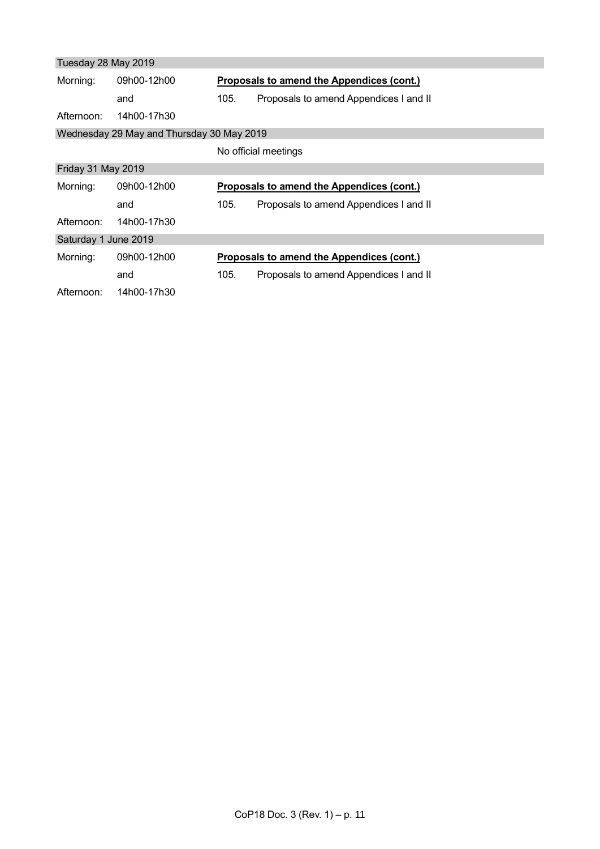| Tuesday 28 May 2019  |                                           |      |                                           |
|----------------------|-------------------------------------------|------|-------------------------------------------|
| Morning:             | 09h00-12h00                               |      | Proposals to amend the Appendices (cont.) |
|                      | and                                       | 105. | Proposals to amend Appendices I and II    |
| Afternoon:           | 14h00-17h30                               |      |                                           |
|                      | Wednesday 29 May and Thursday 30 May 2019 |      |                                           |
|                      |                                           |      | No official meetings                      |
| Friday 31 May 2019   |                                           |      |                                           |
| Morning:             | 09h00-12h00                               |      | Proposals to amend the Appendices (cont.) |
|                      | and                                       | 105. | Proposals to amend Appendices I and II    |
| Afternoon:           | 14h00-17h30                               |      |                                           |
| Saturday 1 June 2019 |                                           |      |                                           |
| Morning:             | 09h00-12h00                               |      | Proposals to amend the Appendices (cont.) |
|                      | and                                       | 105. | Proposals to amend Appendices I and II    |
| Afternoon:           | 14h00-17h30                               |      |                                           |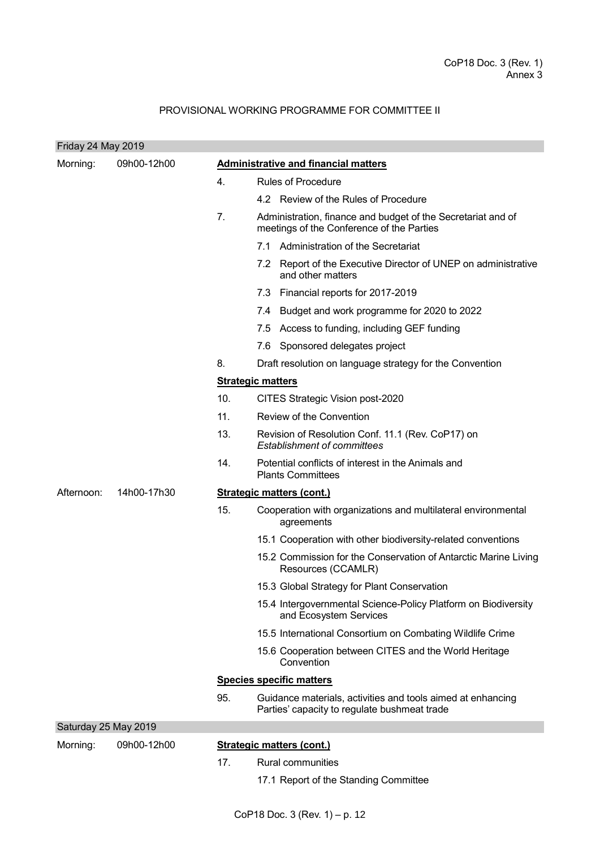# PROVISIONAL WORKING PROGRAMME FOR COMMITTEE II

| Friday 24 May 2019   |             |     |                                                                                                             |
|----------------------|-------------|-----|-------------------------------------------------------------------------------------------------------------|
| Morning:             | 09h00-12h00 |     | <b>Administrative and financial matters</b>                                                                 |
|                      |             | 4.  | <b>Rules of Procedure</b>                                                                                   |
|                      |             |     | 4.2 Review of the Rules of Procedure                                                                        |
|                      |             | 7.  | Administration, finance and budget of the Secretariat and of<br>meetings of the Conference of the Parties   |
|                      |             |     | 7.1 Administration of the Secretariat                                                                       |
|                      |             |     | Report of the Executive Director of UNEP on administrative<br>7.2<br>and other matters                      |
|                      |             |     | 7.3<br>Financial reports for 2017-2019                                                                      |
|                      |             |     | 7.4<br>Budget and work programme for 2020 to 2022                                                           |
|                      |             |     | 7.5 Access to funding, including GEF funding                                                                |
|                      |             |     | Sponsored delegates project<br>7.6                                                                          |
|                      |             | 8.  | Draft resolution on language strategy for the Convention                                                    |
|                      |             |     | <b>Strategic matters</b>                                                                                    |
|                      |             | 10. | CITES Strategic Vision post-2020                                                                            |
|                      |             | 11. | Review of the Convention                                                                                    |
|                      |             | 13. | Revision of Resolution Conf. 11.1 (Rev. CoP17) on<br><b>Establishment of committees</b>                     |
|                      |             | 14. | Potential conflicts of interest in the Animals and<br><b>Plants Committees</b>                              |
| Afternoon:           | 14h00-17h30 |     | <b>Strategic matters (cont.)</b>                                                                            |
|                      |             | 15. | Cooperation with organizations and multilateral environmental<br>agreements                                 |
|                      |             |     | 15.1 Cooperation with other biodiversity-related conventions                                                |
|                      |             |     | 15.2 Commission for the Conservation of Antarctic Marine Living<br>Resources (CCAMLR)                       |
|                      |             |     | 15.3 Global Strategy for Plant Conservation                                                                 |
|                      |             |     | 15.4 Intergovernmental Science-Policy Platform on Biodiversity<br>and Ecosystem Services                    |
|                      |             |     | 15.5 International Consortium on Combating Wildlife Crime                                                   |
|                      |             |     | 15.6 Cooperation between CITES and the World Heritage<br>Convention                                         |
|                      |             |     | <b>Species specific matters</b>                                                                             |
|                      |             | 95. | Guidance materials, activities and tools aimed at enhancing<br>Parties' capacity to regulate bushmeat trade |
| Saturday 25 May 2019 |             |     |                                                                                                             |
| Morning:             | 09h00-12h00 |     | <b>Strategic matters (cont.)</b>                                                                            |
|                      |             | 17. | <b>Rural communities</b>                                                                                    |
|                      |             |     | 17.1 Report of the Standing Committee                                                                       |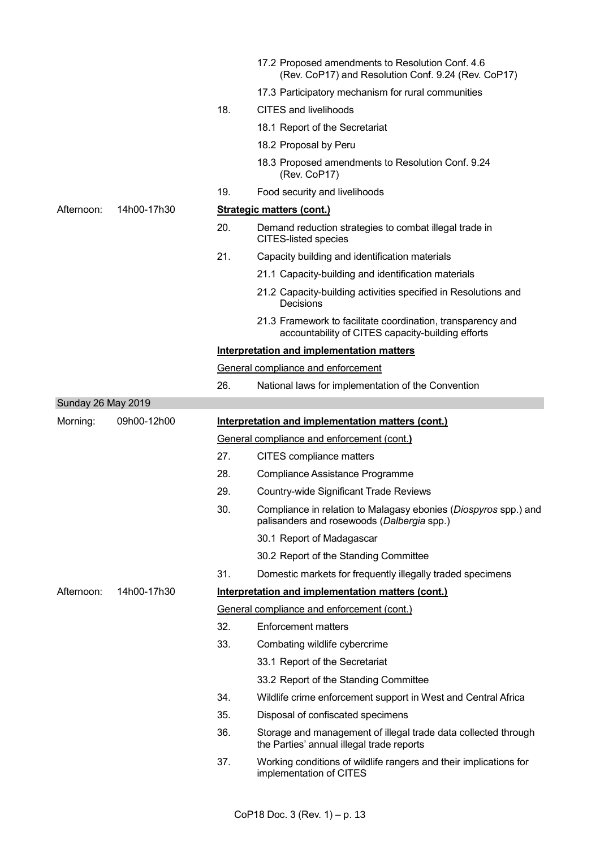|                    |             |     | 17.2 Proposed amendments to Resolution Conf. 4.6<br>(Rev. CoP17) and Resolution Conf. 9.24 (Rev. CoP17)          |
|--------------------|-------------|-----|------------------------------------------------------------------------------------------------------------------|
|                    |             |     | 17.3 Participatory mechanism for rural communities                                                               |
|                    |             | 18. | <b>CITES and livelihoods</b>                                                                                     |
|                    |             |     | 18.1 Report of the Secretariat                                                                                   |
|                    |             |     | 18.2 Proposal by Peru                                                                                            |
|                    |             |     | 18.3 Proposed amendments to Resolution Conf. 9.24<br>(Rev. CoP17)                                                |
|                    |             | 19. | Food security and livelihoods                                                                                    |
| Afternoon:         | 14h00-17h30 |     | <b>Strategic matters (cont.)</b>                                                                                 |
|                    |             | 20. | Demand reduction strategies to combat illegal trade in<br><b>CITES-listed species</b>                            |
|                    |             | 21. | Capacity building and identification materials                                                                   |
|                    |             |     | 21.1 Capacity-building and identification materials                                                              |
|                    |             |     | 21.2 Capacity-building activities specified in Resolutions and<br>Decisions                                      |
|                    |             |     | 21.3 Framework to facilitate coordination, transparency and<br>accountability of CITES capacity-building efforts |
|                    |             |     | Interpretation and implementation matters                                                                        |
|                    |             |     | General compliance and enforcement                                                                               |
|                    |             | 26. | National laws for implementation of the Convention                                                               |
| Sunday 26 May 2019 |             |     |                                                                                                                  |
| Morning:           | 09h00-12h00 |     | Interpretation and implementation matters (cont.)                                                                |
|                    |             |     | General compliance and enforcement (cont.)                                                                       |
|                    |             | 27. | CITES compliance matters                                                                                         |
|                    |             | 28. | Compliance Assistance Programme                                                                                  |
|                    |             | 29. | <b>Country-wide Significant Trade Reviews</b>                                                                    |
|                    |             | 30. | Compliance in relation to Malagasy ebonies (Diospyros spp.) and<br>palisanders and rosewoods (Dalbergia spp.)    |
|                    |             |     | 30.1 Report of Madagascar                                                                                        |
|                    |             |     | 30.2 Report of the Standing Committee                                                                            |
|                    |             |     |                                                                                                                  |
|                    |             | 31. | Domestic markets for frequently illegally traded specimens                                                       |
| Afternoon:         | 14h00-17h30 |     | Interpretation and implementation matters (cont.)                                                                |
|                    |             |     | General compliance and enforcement (cont.)                                                                       |
|                    |             | 32. | <b>Enforcement matters</b>                                                                                       |
|                    |             | 33. | Combating wildlife cybercrime                                                                                    |
|                    |             |     | 33.1 Report of the Secretariat                                                                                   |
|                    |             |     | 33.2 Report of the Standing Committee                                                                            |
|                    |             | 34. | Wildlife crime enforcement support in West and Central Africa                                                    |
|                    |             | 35. | Disposal of confiscated specimens                                                                                |
|                    |             | 36. | Storage and management of illegal trade data collected through<br>the Parties' annual illegal trade reports      |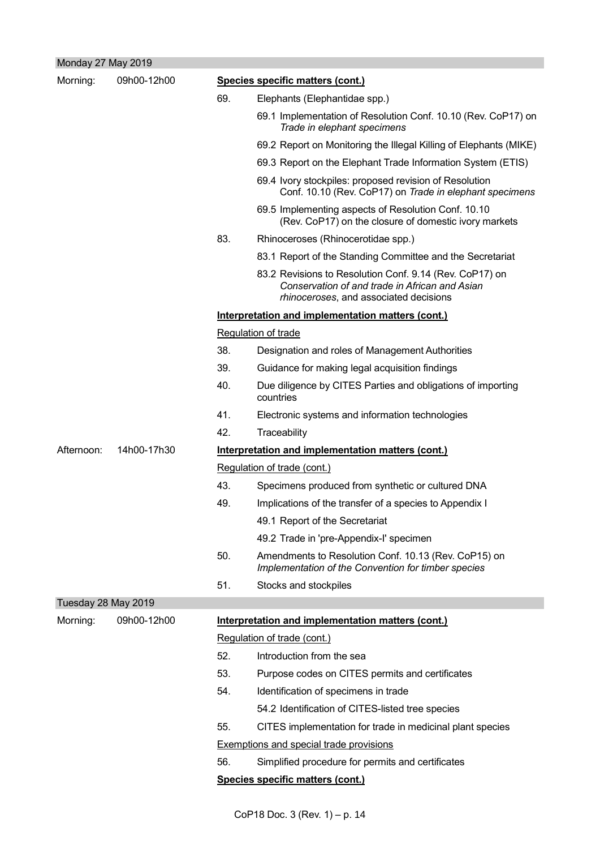| Monday 27 May 2019  |             |     |                                                                                                                                                     |  |  |
|---------------------|-------------|-----|-----------------------------------------------------------------------------------------------------------------------------------------------------|--|--|
| Morning:            | 09h00-12h00 |     | Species specific matters (cont.)                                                                                                                    |  |  |
|                     |             | 69. | Elephants (Elephantidae spp.)                                                                                                                       |  |  |
|                     |             |     | 69.1 Implementation of Resolution Conf. 10.10 (Rev. CoP17) on<br>Trade in elephant specimens                                                        |  |  |
|                     |             |     | 69.2 Report on Monitoring the Illegal Killing of Elephants (MIKE)                                                                                   |  |  |
|                     |             |     | 69.3 Report on the Elephant Trade Information System (ETIS)                                                                                         |  |  |
|                     |             |     | 69.4 Ivory stockpiles: proposed revision of Resolution<br>Conf. 10.10 (Rev. CoP17) on Trade in elephant specimens                                   |  |  |
|                     |             |     | 69.5 Implementing aspects of Resolution Conf. 10.10<br>(Rev. CoP17) on the closure of domestic ivory markets                                        |  |  |
|                     |             | 83. | Rhinoceroses (Rhinocerotidae spp.)                                                                                                                  |  |  |
|                     |             |     | 83.1 Report of the Standing Committee and the Secretariat                                                                                           |  |  |
|                     |             |     | 83.2 Revisions to Resolution Conf. 9.14 (Rev. CoP17) on<br>Conservation of and trade in African and Asian<br>rhinoceroses, and associated decisions |  |  |
|                     |             |     | Interpretation and implementation matters (cont.)                                                                                                   |  |  |
|                     |             |     | <b>Regulation of trade</b>                                                                                                                          |  |  |
|                     |             | 38. | Designation and roles of Management Authorities                                                                                                     |  |  |
|                     |             | 39. | Guidance for making legal acquisition findings                                                                                                      |  |  |
|                     |             | 40. | Due diligence by CITES Parties and obligations of importing<br>countries                                                                            |  |  |
|                     |             | 41. | Electronic systems and information technologies                                                                                                     |  |  |
|                     |             | 42. | Traceability                                                                                                                                        |  |  |
| Afternoon:          | 14h00-17h30 |     | Interpretation and implementation matters (cont.)                                                                                                   |  |  |
|                     |             |     | Regulation of trade (cont.)                                                                                                                         |  |  |
|                     |             | 43. | Specimens produced from synthetic or cultured DNA                                                                                                   |  |  |
|                     |             | 49. | Implications of the transfer of a species to Appendix I                                                                                             |  |  |
|                     |             |     | 49.1 Report of the Secretariat                                                                                                                      |  |  |
|                     |             |     | 49.2 Trade in 'pre-Appendix-I' specimen                                                                                                             |  |  |
|                     |             | 50. | Amendments to Resolution Conf. 10.13 (Rev. CoP15) on<br>Implementation of the Convention for timber species                                         |  |  |
|                     |             | 51. | Stocks and stockpiles                                                                                                                               |  |  |
| Tuesday 28 May 2019 |             |     |                                                                                                                                                     |  |  |
| Morning:            | 09h00-12h00 |     | Interpretation and implementation matters (cont.)                                                                                                   |  |  |
|                     |             |     | Regulation of trade (cont.)                                                                                                                         |  |  |
|                     |             | 52. | Introduction from the sea                                                                                                                           |  |  |
|                     |             | 53. | Purpose codes on CITES permits and certificates                                                                                                     |  |  |
|                     |             | 54. | Identification of specimens in trade                                                                                                                |  |  |
|                     |             |     | 54.2 Identification of CITES-listed tree species                                                                                                    |  |  |
|                     |             | 55. | CITES implementation for trade in medicinal plant species                                                                                           |  |  |
|                     |             |     | <b>Exemptions and special trade provisions</b>                                                                                                      |  |  |
|                     |             | 56. | Simplified procedure for permits and certificates                                                                                                   |  |  |
|                     |             |     | Species specific matters (cont.)                                                                                                                    |  |  |